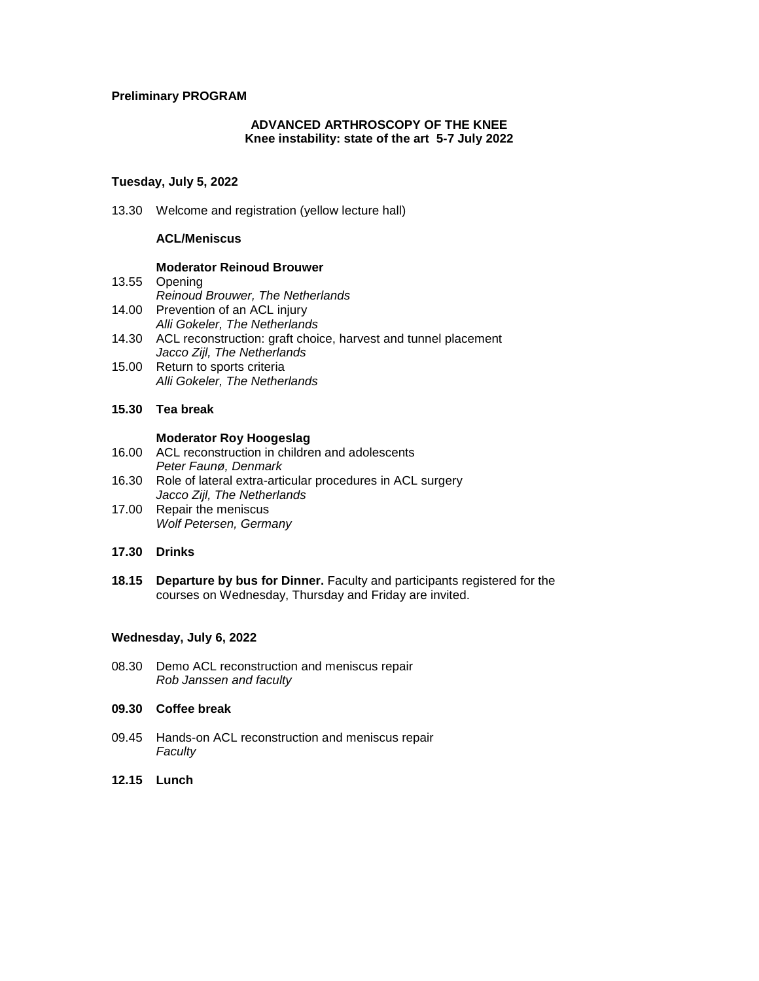## **Preliminary PROGRAM**

## **ADVANCED ARTHROSCOPY OF THE KNEE Knee instability: state of the art 5-7 July 2022**

# **Tuesday, July 5, 2022**

13.30 Welcome and registration (yellow lecture hall)

# **ACL/Meniscus**

### **Moderator Reinoud Brouwer**

- 13.55 Opening
	- *Reinoud Brouwer, The Netherlands*
- 14.00 Prevention of an ACL injury *Alli Gokeler, The Netherlands*
- 14.30 ACL reconstruction: graft choice, harvest and tunnel placement *Jacco Zijl, The Netherlands*
- 15.00 Return to sports criteria *Alli Gokeler, The Netherlands*
- **15.30 Tea break**

### **Moderator Roy Hoogeslag**

- 16.00 ACL reconstruction in children and adolescents *Peter Faunø, Denmark*
- 16.30 Role of lateral extra-articular procedures in ACL surgery *Jacco Zijl, The Netherlands*
- 17.00 Repair the meniscus *Wolf Petersen, Germany*

### **17.30 Drinks**

**18.15 Departure by bus for Dinner.** Faculty and participants registered for the courses on Wednesday, Thursday and Friday are invited.

## **Wednesday, July 6, 2022**

08.30 Demo ACL reconstruction and meniscus repair *Rob Janssen and faculty*

# **09.30 Coffee break**

- 09.45 Hands-on ACL reconstruction and meniscus repair *Faculty*
- **12.15 Lunch**